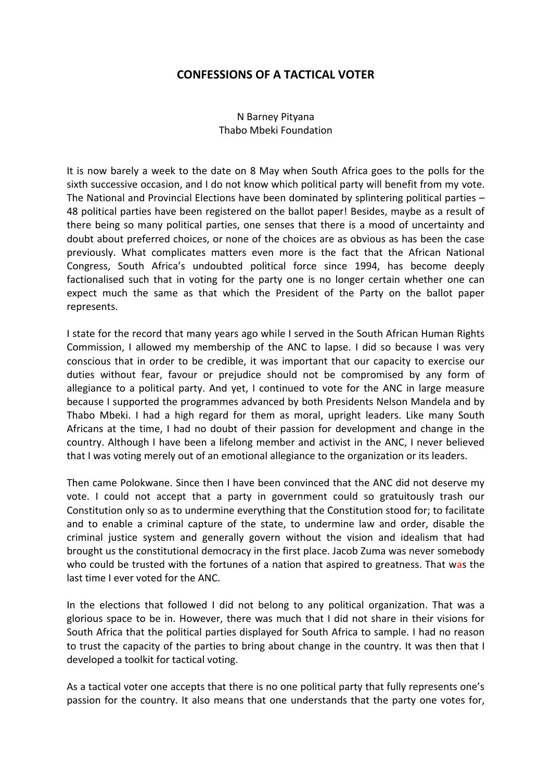## **CONFESSIONS OF A TACTICAL VOTER**

## N Barney Pityana Thabo Mbeki Foundation

It is now barely a week to the date on 8 May when South Africa goes to the polls for the sixth successive occasion, and I do not know which political party will benefit from my vote. The National and Provincial Elections have been dominated by splintering political parties – 48 political parties have been registered on the ballot paper! Besides, maybe as a result of there being so many political parties, one senses that there is a mood of uncertainty and doubt about preferred choices, or none of the choices are as obvious as has been the case previously. What complicates matters even more is the fact that the African National Congress, South Africa's undoubted political force since 1994, has become deeply factionalised such that in voting for the party one is no longer certain whether one can expect much the same as that which the President of the Party on the ballot paper represents.

I state for the record that many years ago while I served in the South African Human Rights Commission, I allowed my membership of the ANC to lapse. I did so because I was very conscious that in order to be credible, it was important that our capacity to exercise our duties without fear, favour or prejudice should not be compromised by any form of allegiance to a political party. And yet, I continued to vote for the ANC in large measure because I supported the programmes advanced by both Presidents Nelson Mandela and by Thabo Mbeki. I had a high regard for them as moral, upright leaders. Like many South Africans at the time, I had no doubt of their passion for development and change in the country. Although I have been a lifelong member and activist in the ANC, I never believed that I was voting merely out of an emotional allegiance to the organization or its leaders.

Then came Polokwane. Since then I have been convinced that the ANC did not deserve my vote. I could not accept that a party in government could so gratuitously trash our Constitution only so as to undermine everything that the Constitution stood for; to facilitate and to enable a criminal capture of the state, to undermine law and order, disable the criminal justice system and generally govern without the vision and idealism that had brought us the constitutional democracy in the first place. Jacob Zuma was never somebody who could be trusted with the fortunes of a nation that aspired to greatness. That was the last time I ever voted for the ANC.

In the elections that followed I did not belong to any political organization. That was a glorious space to be in. However, there was much that I did not share in their visions for South Africa that the political parties displayed for South Africa to sample. I had no reason to trust the capacity of the parties to bring about change in the country. It was then that I developed a toolkit for tactical voting.

As a tactical voter one accepts that there is no one political party that fully represents one's passion for the country. It also means that one understands that the party one votes for,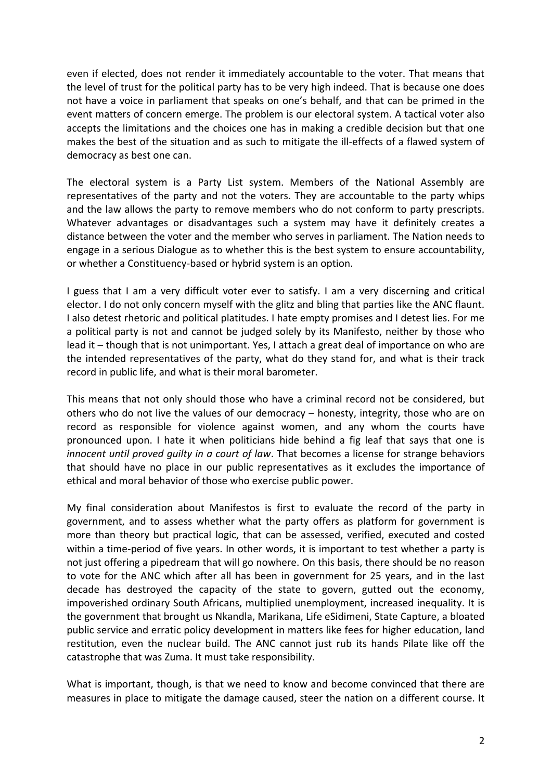even if elected, does not render it immediately accountable to the voter. That means that the level of trust for the political party has to be very high indeed. That is because one does not have a voice in parliament that speaks on one's behalf, and that can be primed in the event matters of concern emerge. The problem is our electoral system. A tactical voter also accepts the limitations and the choices one has in making a credible decision but that one makes the best of the situation and as such to mitigate the ill-effects of a flawed system of democracy as best one can.

The electoral system is a Party List system. Members of the National Assembly are representatives of the party and not the voters. They are accountable to the party whips and the law allows the party to remove members who do not conform to party prescripts. Whatever advantages or disadvantages such a system may have it definitely creates a distance between the voter and the member who serves in parliament. The Nation needs to engage in a serious Dialogue as to whether this is the best system to ensure accountability, or whether a Constituency-based or hybrid system is an option.

I guess that I am a very difficult voter ever to satisfy. I am a very discerning and critical elector. I do not only concern myself with the glitz and bling that parties like the ANC flaunt. I also detest rhetoric and political platitudes. I hate empty promises and I detest lies. For me a political party is not and cannot be judged solely by its Manifesto, neither by those who lead it – though that is not unimportant. Yes, I attach a great deal of importance on who are the intended representatives of the party, what do they stand for, and what is their track record in public life, and what is their moral barometer.

This means that not only should those who have a criminal record not be considered, but others who do not live the values of our democracy – honesty, integrity, those who are on record as responsible for violence against women, and any whom the courts have pronounced upon. I hate it when politicians hide behind a fig leaf that says that one is *innocent until proved guilty in a court of law*. That becomes a license for strange behaviors that should have no place in our public representatives as it excludes the importance of ethical and moral behavior of those who exercise public power.

My final consideration about Manifestos is first to evaluate the record of the party in government, and to assess whether what the party offers as platform for government is more than theory but practical logic, that can be assessed, verified, executed and costed within a time-period of five years. In other words, it is important to test whether a party is not just offering a pipedream that will go nowhere. On this basis, there should be no reason to vote for the ANC which after all has been in government for 25 years, and in the last decade has destroyed the capacity of the state to govern, gutted out the economy, impoverished ordinary South Africans, multiplied unemployment, increased inequality. It is the government that brought us Nkandla, Marikana, Life eSidimeni, State Capture, a bloated public service and erratic policy development in matters like fees for higher education, land restitution, even the nuclear build. The ANC cannot just rub its hands Pilate like off the catastrophe that was Zuma. It must take responsibility.

What is important, though, is that we need to know and become convinced that there are measures in place to mitigate the damage caused, steer the nation on a different course. It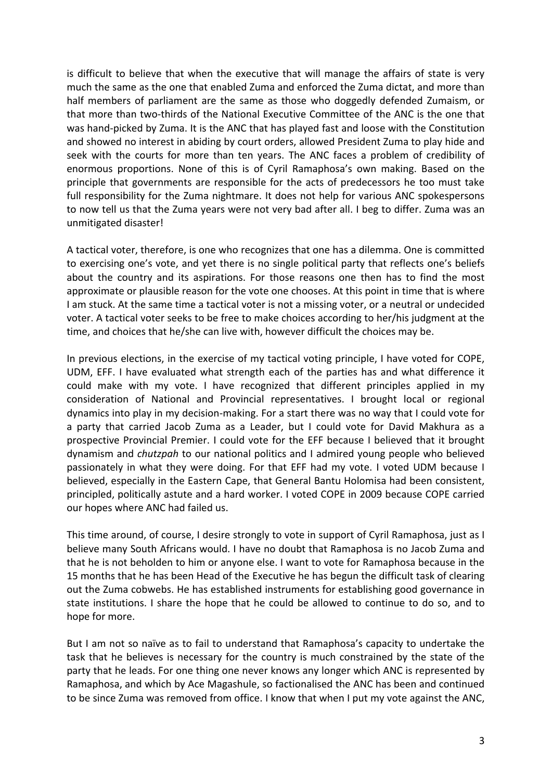is difficult to believe that when the executive that will manage the affairs of state is very much the same as the one that enabled Zuma and enforced the Zuma dictat, and more than half members of parliament are the same as those who doggedly defended Zumaism, or that more than two-thirds of the National Executive Committee of the ANC is the one that was hand-picked by Zuma. It is the ANC that has played fast and loose with the Constitution and showed no interest in abiding by court orders, allowed President Zuma to play hide and seek with the courts for more than ten years. The ANC faces a problem of credibility of enormous proportions. None of this is of Cyril Ramaphosa's own making. Based on the principle that governments are responsible for the acts of predecessors he too must take full responsibility for the Zuma nightmare. It does not help for various ANC spokespersons to now tell us that the Zuma years were not very bad after all. I beg to differ. Zuma was an unmitigated disaster!

A tactical voter, therefore, is one who recognizes that one has a dilemma. One is committed to exercising one's vote, and yet there is no single political party that reflects one's beliefs about the country and its aspirations. For those reasons one then has to find the most approximate or plausible reason for the vote one chooses. At this point in time that is where I am stuck. At the same time a tactical voter is not a missing voter, or a neutral or undecided voter. A tactical voter seeks to be free to make choices according to her/his judgment at the time, and choices that he/she can live with, however difficult the choices may be.

In previous elections, in the exercise of my tactical voting principle, I have voted for COPE, UDM, EFF. I have evaluated what strength each of the parties has and what difference it could make with my vote. I have recognized that different principles applied in my consideration of National and Provincial representatives. I brought local or regional dynamics into play in my decision-making. For a start there was no way that I could vote for a party that carried Jacob Zuma as a Leader, but I could vote for David Makhura as a prospective Provincial Premier. I could vote for the EFF because I believed that it brought dynamism and *chutzpah* to our national politics and I admired young people who believed passionately in what they were doing. For that EFF had my vote. I voted UDM because I believed, especially in the Eastern Cape, that General Bantu Holomisa had been consistent, principled, politically astute and a hard worker. I voted COPE in 2009 because COPE carried our hopes where ANC had failed us.

This time around, of course, I desire strongly to vote in support of Cyril Ramaphosa, just as I believe many South Africans would. I have no doubt that Ramaphosa is no Jacob Zuma and that he is not beholden to him or anyone else. I want to vote for Ramaphosa because in the 15 months that he has been Head of the Executive he has begun the difficult task of clearing out the Zuma cobwebs. He has established instruments for establishing good governance in state institutions. I share the hope that he could be allowed to continue to do so, and to hope for more.

But I am not so naïve as to fail to understand that Ramaphosa's capacity to undertake the task that he believes is necessary for the country is much constrained by the state of the party that he leads. For one thing one never knows any longer which ANC is represented by Ramaphosa, and which by Ace Magashule, so factionalised the ANC has been and continued to be since Zuma was removed from office. I know that when I put my vote against the ANC,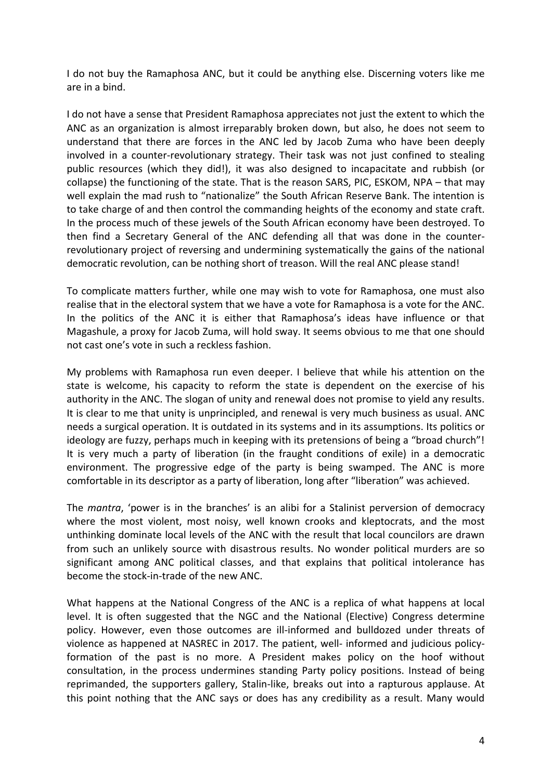I do not buy the Ramaphosa ANC, but it could be anything else. Discerning voters like me are in a bind.

I do not have a sense that President Ramaphosa appreciates not just the extent to which the ANC as an organization is almost irreparably broken down, but also, he does not seem to understand that there are forces in the ANC led by Jacob Zuma who have been deeply involved in a counter-revolutionary strategy. Their task was not just confined to stealing public resources (which they did!), it was also designed to incapacitate and rubbish (or collapse) the functioning of the state. That is the reason SARS, PIC, ESKOM, NPA – that may well explain the mad rush to "nationalize" the South African Reserve Bank. The intention is to take charge of and then control the commanding heights of the economy and state craft. In the process much of these jewels of the South African economy have been destroyed. To then find a Secretary General of the ANC defending all that was done in the counterrevolutionary project of reversing and undermining systematically the gains of the national democratic revolution, can be nothing short of treason. Will the real ANC please stand!

To complicate matters further, while one may wish to vote for Ramaphosa, one must also realise that in the electoral system that we have a vote for Ramaphosa is a vote for the ANC. In the politics of the ANC it is either that Ramaphosa's ideas have influence or that Magashule, a proxy for Jacob Zuma, will hold sway. It seems obvious to me that one should not cast one's vote in such a reckless fashion.

My problems with Ramaphosa run even deeper. I believe that while his attention on the state is welcome, his capacity to reform the state is dependent on the exercise of his authority in the ANC. The slogan of unity and renewal does not promise to yield any results. It is clear to me that unity is unprincipled, and renewal is very much business as usual. ANC needs a surgical operation. It is outdated in its systems and in its assumptions. Its politics or ideology are fuzzy, perhaps much in keeping with its pretensions of being a "broad church"! It is very much a party of liberation (in the fraught conditions of exile) in a democratic environment. The progressive edge of the party is being swamped. The ANC is more comfortable in its descriptor as a party of liberation, long after "liberation" was achieved.

The *mantra*, 'power is in the branches' is an alibi for a Stalinist perversion of democracy where the most violent, most noisy, well known crooks and kleptocrats, and the most unthinking dominate local levels of the ANC with the result that local councilors are drawn from such an unlikely source with disastrous results. No wonder political murders are so significant among ANC political classes, and that explains that political intolerance has become the stock-in-trade of the new ANC.

What happens at the National Congress of the ANC is a replica of what happens at local level. It is often suggested that the NGC and the National (Elective) Congress determine policy. However, even those outcomes are ill-informed and bulldozed under threats of violence as happened at NASREC in 2017. The patient, well- informed and judicious policyformation of the past is no more. A President makes policy on the hoof without consultation, in the process undermines standing Party policy positions. Instead of being reprimanded, the supporters gallery, Stalin-like, breaks out into a rapturous applause. At this point nothing that the ANC says or does has any credibility as a result. Many would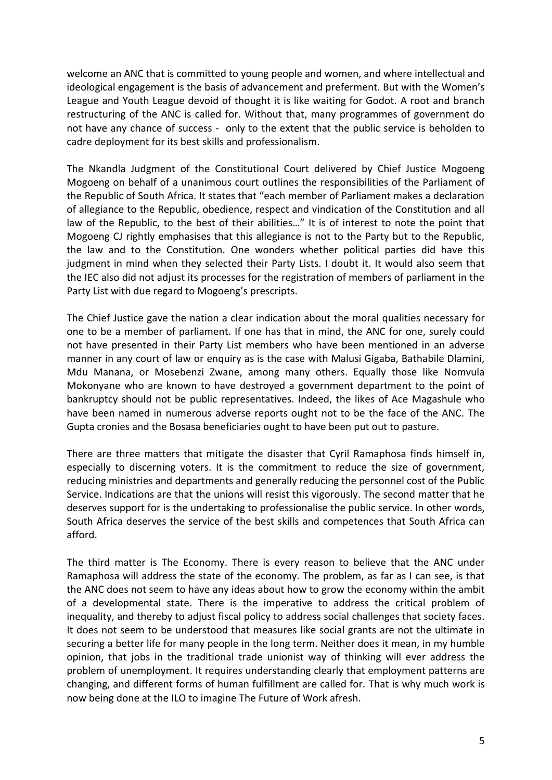welcome an ANC that is committed to young people and women, and where intellectual and ideological engagement is the basis of advancement and preferment. But with the Women's League and Youth League devoid of thought it is like waiting for Godot. A root and branch restructuring of the ANC is called for. Without that, many programmes of government do not have any chance of success - only to the extent that the public service is beholden to cadre deployment for its best skills and professionalism.

The Nkandla Judgment of the Constitutional Court delivered by Chief Justice Mogoeng Mogoeng on behalf of a unanimous court outlines the responsibilities of the Parliament of the Republic of South Africa. It states that "each member of Parliament makes a declaration of allegiance to the Republic, obedience, respect and vindication of the Constitution and all law of the Republic, to the best of their abilities…" It is of interest to note the point that Mogoeng CJ rightly emphasises that this allegiance is not to the Party but to the Republic, the law and to the Constitution. One wonders whether political parties did have this judgment in mind when they selected their Party Lists. I doubt it. It would also seem that the IEC also did not adjust its processes for the registration of members of parliament in the Party List with due regard to Mogoeng's prescripts.

The Chief Justice gave the nation a clear indication about the moral qualities necessary for one to be a member of parliament. If one has that in mind, the ANC for one, surely could not have presented in their Party List members who have been mentioned in an adverse manner in any court of law or enquiry as is the case with Malusi Gigaba, Bathabile Dlamini, Mdu Manana, or Mosebenzi Zwane, among many others. Equally those like Nomvula Mokonyane who are known to have destroyed a government department to the point of bankruptcy should not be public representatives. Indeed, the likes of Ace Magashule who have been named in numerous adverse reports ought not to be the face of the ANC. The Gupta cronies and the Bosasa beneficiaries ought to have been put out to pasture.

There are three matters that mitigate the disaster that Cyril Ramaphosa finds himself in, especially to discerning voters. It is the commitment to reduce the size of government, reducing ministries and departments and generally reducing the personnel cost of the Public Service. Indications are that the unions will resist this vigorously. The second matter that he deserves support for is the undertaking to professionalise the public service. In other words, South Africa deserves the service of the best skills and competences that South Africa can afford.

The third matter is The Economy. There is every reason to believe that the ANC under Ramaphosa will address the state of the economy. The problem, as far as I can see, is that the ANC does not seem to have any ideas about how to grow the economy within the ambit of a developmental state. There is the imperative to address the critical problem of inequality, and thereby to adjust fiscal policy to address social challenges that society faces. It does not seem to be understood that measures like social grants are not the ultimate in securing a better life for many people in the long term. Neither does it mean, in my humble opinion, that jobs in the traditional trade unionist way of thinking will ever address the problem of unemployment. It requires understanding clearly that employment patterns are changing, and different forms of human fulfillment are called for. That is why much work is now being done at the ILO to imagine The Future of Work afresh.